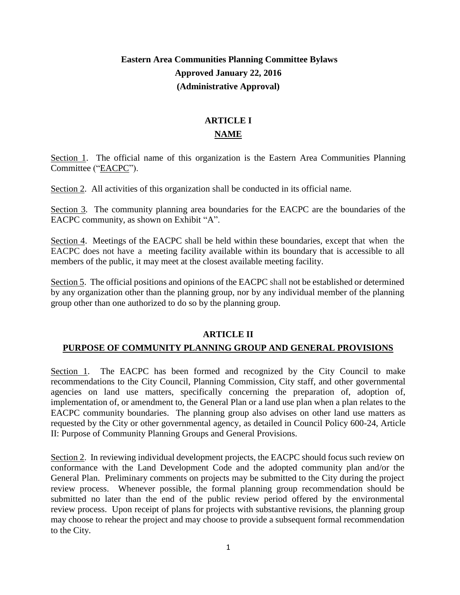# **Eastern Area Communities Planning Committee Bylaws Approved January 22, 2016 (Administrative Approval)**

# **ARTICLE I NAME**

Section 1. The official name of this organization is the Eastern Area Communities Planning Committee ("EACPC").

Section 2. All activities of this organization shall be conducted in its official name.

Section 3. The community planning area boundaries for the EACPC are the boundaries of the EACPC community, as shown on Exhibit "A".

Section 4. Meetings of the EACPC shall be held within these boundaries, except that when the EACPC does not have a meeting facility available within its boundary that is accessible to all members of the public, it may meet at the closest available meeting facility.

Section 5. The official positions and opinions of the EACPC shall not be established or determined by any organization other than the planning group, nor by any individual member of the planning group other than one authorized to do so by the planning group.

## **ARTICLE II**

## **PURPOSE OF COMMUNITY PLANNING GROUP AND GENERAL PROVISIONS**

Section 1. The EACPC has been formed and recognized by the City Council to make recommendations to the City Council, Planning Commission, City staff, and other governmental agencies on land use matters, specifically concerning the preparation of, adoption of, implementation of, or amendment to, the General Plan or a land use plan when a plan relates to the EACPC community boundaries. The planning group also advises on other land use matters as requested by the City or other governmental agency, as detailed in Council Policy 600-24, Article II: Purpose of Community Planning Groups and General Provisions.

Section 2. In reviewing individual development projects, the EACPC should focus such review on conformance with the Land Development Code and the adopted community plan and/or the General Plan. Preliminary comments on projects may be submitted to the City during the project review process. Whenever possible, the formal planning group recommendation should be submitted no later than the end of the public review period offered by the environmental review process. Upon receipt of plans for projects with substantive revisions, the planning group may choose to rehear the project and may choose to provide a subsequent formal recommendation to the City.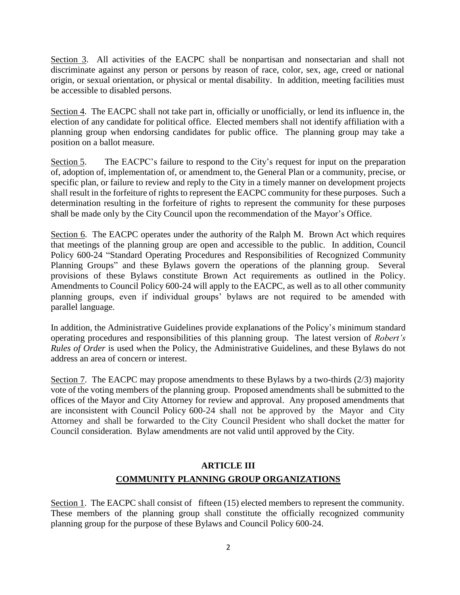Section 3. All activities of the EACPC shall be nonpartisan and nonsectarian and shall not discriminate against any person or persons by reason of race, color, sex, age, creed or national origin, or sexual orientation, or physical or mental disability. In addition, meeting facilities must be accessible to disabled persons.

Section 4. The EACPC shall not take part in, officially or unofficially, or lend its influence in, the election of any candidate for political office. Elected members shall not identify affiliation with a planning group when endorsing candidates for public office. The planning group may take a position on a ballot measure.

Section 5. The EACPC's failure to respond to the City's request for input on the preparation of, adoption of, implementation of, or amendment to, the General Plan or a community, precise, or specific plan, or failure to review and reply to the City in a timely manner on development projects shall result in the forfeiture of rights to represent the EACPC community for these purposes. Such a determination resulting in the forfeiture of rights to represent the community for these purposes shall be made only by the City Council upon the recommendation of the Mayor's Office.

Section 6. The EACPC operates under the authority of the Ralph M. Brown Act which requires that meetings of the planning group are open and accessible to the public. In addition, Council Policy 600-24 "Standard Operating Procedures and Responsibilities of Recognized Community Planning Groups" and these Bylaws govern the operations of the planning group. Several provisions of these Bylaws constitute Brown Act requirements as outlined in the Policy. Amendments to Council Policy 600-24 will apply to the EACPC, as well as to all other community planning groups, even if individual groups' bylaws are not required to be amended with parallel language.

In addition, the Administrative Guidelines provide explanations of the Policy's minimum standard operating procedures and responsibilities of this planning group. The latest version of *Robert's Rules of Order* is used when the Policy, the Administrative Guidelines, and these Bylaws do not address an area of concern or interest.

Section 7. The EACPC may propose amendments to these Bylaws by a two-thirds (2/3) majority vote of the voting members of the planning group. Proposed amendments shall be submitted to the offices of the Mayor and City Attorney for review and approval. Any proposed amendments that are inconsistent with Council Policy 600-24 shall not be approved by the Mayor and City Attorney and shall be forwarded to the City Council President who shall docket the matter for Council consideration. Bylaw amendments are not valid until approved by the City.

# **ARTICLE III COMMUNITY PLANNING GROUP ORGANIZATIONS**

Section 1. The EACPC shall consist of fifteen (15) elected members to represent the community. These members of the planning group shall constitute the officially recognized community planning group for the purpose of these Bylaws and Council Policy 600-24.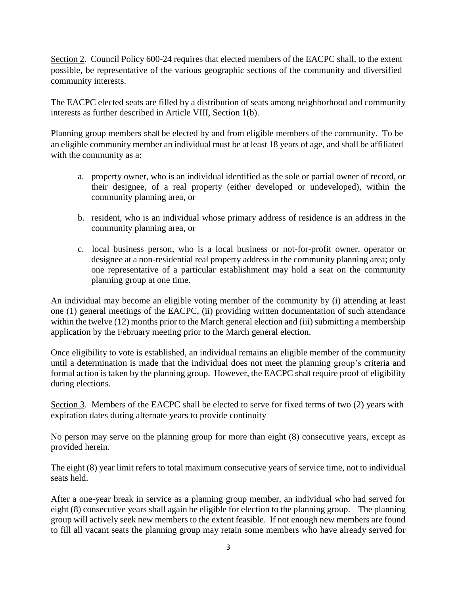Section 2. Council Policy 600-24 requires that elected members of the EACPC shall, to the extent possible, be representative of the various geographic sections of the community and diversified community interests.

The EACPC elected seats are filled by a distribution of seats among neighborhood and community interests as further described in Article VIII, Section 1(b).

Planning group members shall be elected by and from eligible members of the community. To be an eligible community member an individual must be at least 18 years of age, and shall be affiliated with the community as a:

- a. property owner, who is an individual identified as the sole or partial owner of record, or their designee, of a real property (either developed or undeveloped), within the community planning area, or
- b. resident, who is an individual whose primary address of residence is an address in the community planning area, or
- c. local business person, who is a local business or not-for-profit owner, operator or designee at a non-residential real property address in the community planning area; only one representative of a particular establishment may hold a seat on the community planning group at one time.

An individual may become an eligible voting member of the community by (i) attending at least one (1) general meetings of the EACPC, (ii) providing written documentation of such attendance within the twelve (12) months prior to the March general election and (iii) submitting a membership application by the February meeting prior to the March general election.

Once eligibility to vote is established, an individual remains an eligible member of the community until a determination is made that the individual does not meet the planning group's criteria and formal action is taken by the planning group. However, the EACPC shall require proof of eligibility during elections.

Section 3. Members of the EACPC shall be elected to serve for fixed terms of two (2) years with expiration dates during alternate years to provide continuity

No person may serve on the planning group for more than eight (8) consecutive years, except as provided herein.

The eight (8) year limit refers to total maximum consecutive years of service time, not to individual seats held.

After a one-year break in service as a planning group member, an individual who had served for eight (8) consecutive years shall again be eligible for election to the planning group. The planning group will actively seek new members to the extent feasible. If not enough new members are found to fill all vacant seats the planning group may retain some members who have already served for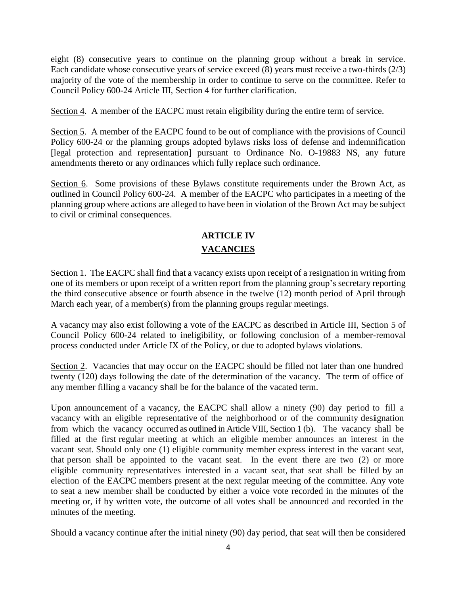eight (8) consecutive years to continue on the planning group without a break in service. Each candidate whose consecutive years of service exceed (8) years must receive a two-thirds (2/3) majority of the vote of the membership in order to continue to serve on the committee. Refer to Council Policy 600-24 Article III, Section 4 for further clarification.

Section 4. A member of the EACPC must retain eligibility during the entire term of service.

Section 5. A member of the EACPC found to be out of compliance with the provisions of Council Policy 600-24 or the planning groups adopted bylaws risks loss of defense and indemnification [legal protection and representation] pursuant to Ordinance No. O-19883 NS, any future amendments thereto or any ordinances which fully replace such ordinance.

Section 6. Some provisions of these Bylaws constitute requirements under the Brown Act, as outlined in Council Policy 600-24. A member of the EACPC who participates in a meeting of the planning group where actions are alleged to have been in violation of the Brown Act may be subject to civil or criminal consequences.

# **ARTICLE IV VACANCIES**

Section 1. The EACPC shall find that a vacancy exists upon receipt of a resignation in writing from one of its members or upon receipt of a written report from the planning group's secretary reporting the third consecutive absence or fourth absence in the twelve (12) month period of April through March each year, of a member(s) from the planning groups regular meetings.

A vacancy may also exist following a vote of the EACPC as described in Article III, Section 5 of Council Policy 600-24 related to ineligibility, or following conclusion of a member-removal process conducted under Article IX of the Policy, or due to adopted bylaws violations.

Section 2. Vacancies that may occur on the EACPC should be filled not later than one hundred twenty (120) days following the date of the determination of the vacancy. The term of office of any member filling a vacancy shall be for the balance of the vacated term.

Upon announcement of a vacancy, the EACPC shall allow a ninety (90) day period to fill a vacancy with an eligible representative of the neighborhood or of the community designation from which the vacancy occurred as outlined in Article VIII, Section 1 (b). The vacancy shall be filled at the first regular meeting at which an eligible member announces an interest in the vacant seat. Should only one (1) eligible community member express interest in the vacant seat, that person shall be appointed to the vacant seat. In the event there are two (2) or more eligible community representatives interested in a vacant seat, that seat shall be filled by an election of the EACPC members present at the next regular meeting of the committee. Any vote to seat a new member shall be conducted by either a voice vote recorded in the minutes of the meeting or, if by written vote, the outcome of all votes shall be announced and recorded in the minutes of the meeting.

Should a vacancy continue after the initial ninety (90) day period, that seat will then be considered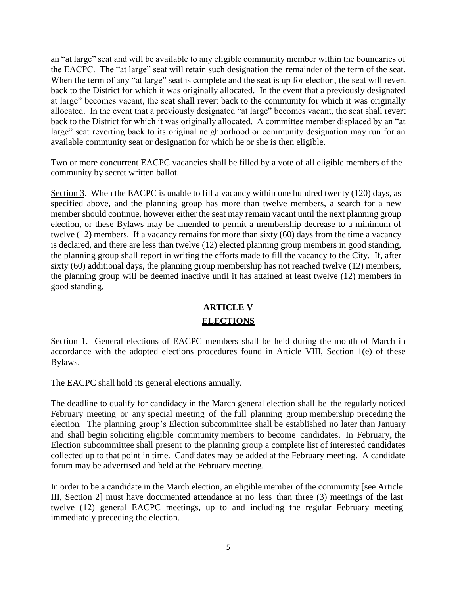an "at large" seat and will be available to any eligible community member within the boundaries of the EACPC. The "at large" seat will retain such designation the remainder of the term of the seat. When the term of any "at large" seat is complete and the seat is up for election, the seat will revert back to the District for which it was originally allocated. In the event that a previously designated at large" becomes vacant, the seat shall revert back to the community for which it was originally allocated. In the event that a previously designated "at large" becomes vacant, the seat shall revert back to the District for which it was originally allocated. A committee member displaced by an "at large" seat reverting back to its original neighborhood or community designation may run for an available community seat or designation for which he or she is then eligible.

Two or more concurrent EACPC vacancies shall be filled by a vote of all eligible members of the community by secret written ballot.

Section 3. When the EACPC is unable to fill a vacancy within one hundred twenty (120) days, as specified above, and the planning group has more than twelve members, a search for a new member should continue, however either the seat may remain vacant until the next planning group election, or these Bylaws may be amended to permit a membership decrease to a minimum of twelve (12) members. If a vacancy remains for more than sixty (60) days from the time a vacancy is declared, and there are less than twelve (12) elected planning group members in good standing, the planning group shall report in writing the efforts made to fill the vacancy to the City. If, after sixty (60) additional days, the planning group membership has not reached twelve (12) members, the planning group will be deemed inactive until it has attained at least twelve (12) members in good standing.

# **ARTICLE V ELECTIONS**

Section 1. General elections of EACPC members shall be held during the month of March in accordance with the adopted elections procedures found in Article VIII, Section 1(e) of these Bylaws.

The EACPC shall hold its general elections annually.

The deadline to qualify for candidacy in the March general election shall be the regularly noticed February meeting or any special meeting of the full planning group membership preceding the election. The planning group's Election subcommittee shall be established no later than January and shall begin soliciting eligible community members to become candidates. In February, the Election subcommittee shall present to the planning group a complete list of interested candidates collected up to that point in time. Candidates may be added at the February meeting. A candidate forum may be advertised and held at the February meeting.

In order to be a candidate in the March election, an eligible member of the community [see Article III, Section 2] must have documented attendance at no less than three (3) meetings of the last twelve (12) general EACPC meetings, up to and including the regular February meeting immediately preceding the election.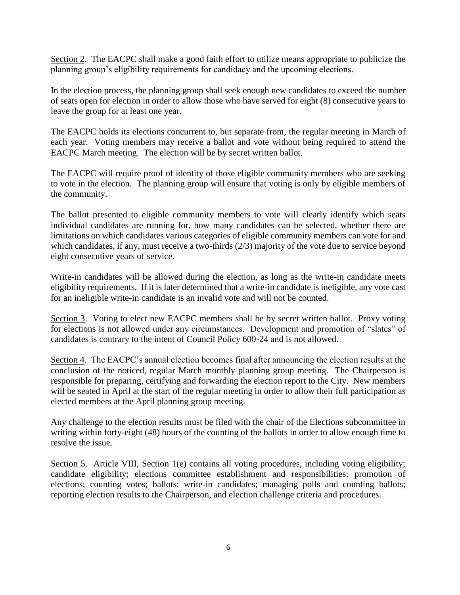Section 2. The EACPC shall make a good faith effort to utilize means appropriate to publicize the planning group's eligibility requirements for candidacy and the upcoming elections.

In the election process, the planning group shall seek enough new candidates to exceed the number of seats open for election in order to allow those who have served for eight (8) consecutive years to leave the group for at least one year.

The EACPC holds its elections concurrent to, but separate from, the regular meeting in March of each year. Voting members may receive a ballot and vote without being required to attend the EACPC March meeting. The election will be by secret written ballot.

The EACPC will require proof of identity of those eligible community members who are seeking to vote in the election. The planning group will ensure that voting is only by eligible members of the community.

The ballot presented to eligible community members to vote will clearly identify which seats individual candidates are running for, how many candidates can be selected, whether there are limitations on which candidates various categories of eligible community members can vote for and which candidates, if any, must receive a two-thirds (2/3) majority of the vote due to service beyond eight consecutive years of service.

Write-in candidates will be allowed during the election, as long as the write-in candidate meets eligibility requirements. If it is later determined that a write-in candidate is ineligible, any vote cast for an ineligible write-in candidate is an invalid vote and will not be counted.

Section 3. Voting to elect new EACPC members shall be by secret written ballot. Proxy voting for elections is not allowed under any circumstances. Development and promotion of "slates" of candidates is contrary to the intent of Council Policy 600-24 and is not allowed.

Section 4. The EACPC's annual election becomes final after announcing the election results at the conclusion of the noticed, regular March monthly planning group meeting. The Chairperson is responsible for preparing, certifying and forwarding the election report to the City. New members will be seated in April at the start of the regular meeting in order to allow their full participation as elected members at the April planning group meeting.

Any challenge to the election results must be filed with the chair of the Elections subcommittee in writing within forty-eight (48) hours of the counting of the ballots in order to allow enough time to resolve the issue.

Section 5. Article VIII, Section 1(e) contains all voting procedures, including voting eligibility; candidate eligibility; elections committee establishment and responsibilities; promotion of elections; counting votes; ballots; write-in candidates; managing polls and counting ballots; reporting election results to the Chairperson, and election challenge criteria and procedures.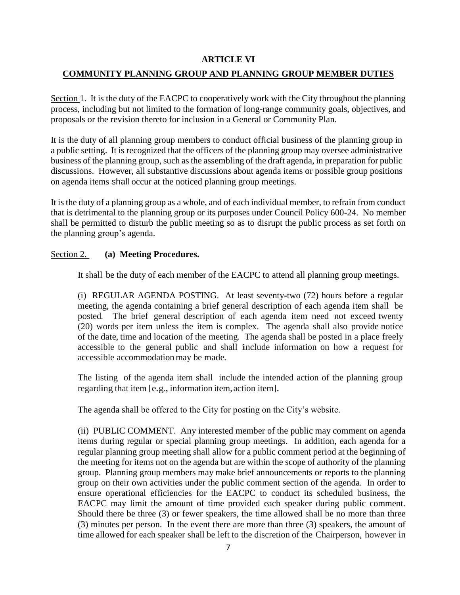### **ARTICLE VI**

### **COMMUNITY PLANNING GROUP AND PLANNING GROUP MEMBER DUTIES**

Section 1. It is the duty of the EACPC to cooperatively work with the City throughout the planning process, including but not limited to the formation of long-range community goals, objectives, and proposals or the revision thereto for inclusion in a General or Community Plan.

It is the duty of all planning group members to conduct official business of the planning group in a public setting. It is recognized that the officers of the planning group may oversee administrative business of the planning group, such as the assembling of the draft agenda, in preparation for public discussions. However, all substantive discussions about agenda items or possible group positions on agenda items shall occur at the noticed planning group meetings.

It is the duty of a planning group as a whole, and of each individual member, to refrain from conduct that is detrimental to the planning group or its purposes under Council Policy 600-24. No member shall be permitted to disturb the public meeting so as to disrupt the public process as set forth on the planning group's agenda.

### Section 2. **(a) Meeting Procedures.**

It shall be the duty of each member of the EACPC to attend all planning group meetings.

(i) REGULAR AGENDA POSTING. At least seventy-two (72) hours before a regular meeting, the agenda containing a brief general description of each agenda item shall be posted. The brief general description of each agenda item need not exceed twenty (20) words per item unless the item is complex. The agenda shall also provide notice of the date, time and location of the meeting. The agenda shall be posted in a place freely accessible to the general public and shall include information on how <sup>a</sup> request for accessible accommodation may be made.

The listing of the agenda item shall include the intended action of the planning group regarding that item [e.g., information item, action item].

The agenda shall be offered to the City for posting on the City's website.

(ii) PUBLIC COMMENT. Any interested member of the public may comment on agenda items during regular or special planning group meetings. In addition, each agenda for a regular planning group meeting shall allow for a public comment period at the beginning of the meeting for items not on the agenda but are within the scope of authority of the planning group. Planning group members may make brief announcements or reports to the planning group on their own activities under the public comment section of the agenda. In order to ensure operational efficiencies for the EACPC to conduct its scheduled business, the EACPC may limit the amount of time provided each speaker during public comment. Should there be three (3) or fewer speakers, the time allowed shall be no more than three (3) minutes per person. In the event there are more than three (3) speakers, the amount of time allowed for each speaker shall be left to the discretion of the Chairperson, however in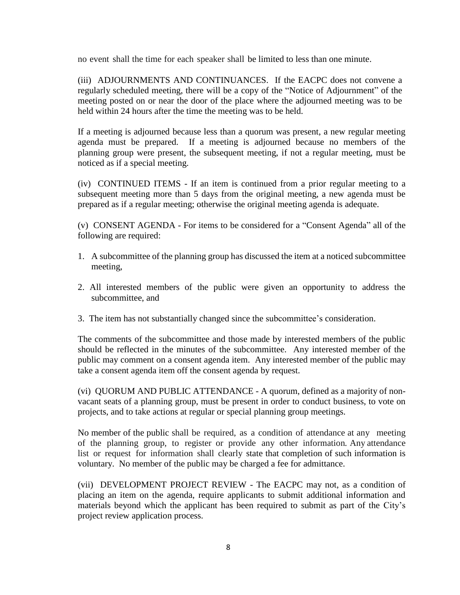no event shall the time for each speaker shall be limited to less than one minute.

(iii) ADJOURNMENTS AND CONTINUANCES. If the EACPC does not convene a regularly scheduled meeting, there will be a copy of the "Notice of Adjournment" of the meeting posted on or near the door of the place where the adjourned meeting was to be held within 24 hours after the time the meeting was to be held.

If a meeting is adjourned because less than a quorum was present, a new regular meeting agenda must be prepared. If a meeting is adjourned because no members of the planning group were present, the subsequent meeting, if not a regular meeting, must be noticed as if a special meeting.

(iv) CONTINUED ITEMS - If an item is continued from a prior regular meeting to a subsequent meeting more than 5 days from the original meeting, a new agenda must be prepared as if a regular meeting; otherwise the original meeting agenda is adequate.

(v) CONSENT AGENDA - For items to be considered for a "Consent Agenda" all of the following are required:

- 1. A subcommittee of the planning group has discussed the item at a noticed subcommittee meeting,
- 2. All interested members of the public were given an opportunity to address the subcommittee, and
- 3. The item has not substantially changed since the subcommittee's consideration.

The comments of the subcommittee and those made by interested members of the public should be reflected in the minutes of the subcommittee. Any interested member of the public may comment on a consent agenda item. Any interested member of the public may take a consent agenda item off the consent agenda by request.

(vi) QUORUM AND PUBLIC ATTENDANCE - A quorum, defined as a majority of nonvacant seats of a planning group, must be present in order to conduct business, to vote on projects, and to take actions at regular or special planning group meetings.

No member of the public shall be required, as a condition of attendance at any meeting of the planning group, to register or provide any other information. Any attendance list or request for information shall clearly state that completion of such information is voluntary. No member of the public may be charged a fee for admittance.

(vii) DEVELOPMENT PROJECT REVIEW - The EACPC may not, as a condition of placing an item on the agenda, require applicants to submit additional information and materials beyond which the applicant has been required to submit as part of the City's project review application process.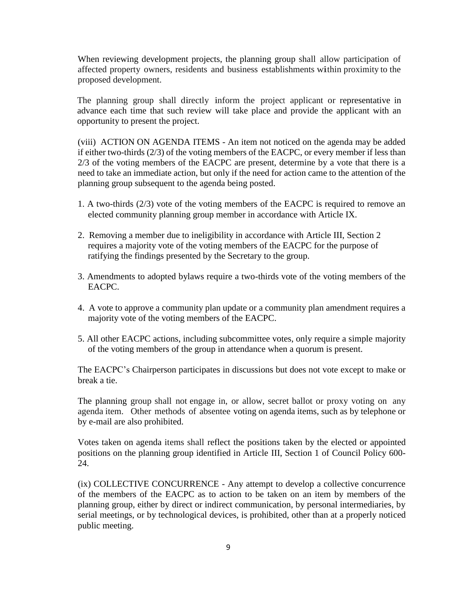When reviewing development projects, the planning group shall allow participation of affected property owners, residents and business establishments within proximity to the proposed development.

The planning group shall directly inform the project applicant or representative in advance each time that such review will take place and provide the applicant with an opportunity to present the project.

(viii) ACTION ON AGENDA ITEMS - An item not noticed on the agenda may be added if either two-thirds (2/3) of the voting members of the EACPC, or every member if less than 2/3 of the voting members of the EACPC are present, determine by a vote that there is a need to take an immediate action, but only if the need for action came to the attention of the planning group subsequent to the agenda being posted.

- 1. A two-thirds (2/3) vote of the voting members of the EACPC is required to remove an elected community planning group member in accordance with Article IX.
- 2. Removing a member due to ineligibility in accordance with Article III, Section 2 requires a majority vote of the voting members of the EACPC for the purpose of ratifying the findings presented by the Secretary to the group.
- 3. Amendments to adopted bylaws require a two-thirds vote of the voting members of the EACPC.
- 4. A vote to approve a community plan update or a community plan amendment requires a majority vote of the voting members of the EACPC.
- 5. All other EACPC actions, including subcommittee votes, only require a simple majority of the voting members of the group in attendance when a quorum is present.

The EACPC's Chairperson participates in discussions but does not vote except to make or break a tie.

The planning group shall not engage in, or allow, secret ballot or proxy voting on any agenda item. Other methods of absentee voting on agenda items, such as by telephone or by e-mail are also prohibited.

Votes taken on agenda items shall reflect the positions taken by the elected or appointed positions on the planning group identified in Article III, Section 1 of Council Policy 600- 24.

(ix) COLLECTIVE CONCURRENCE - Any attempt to develop a collective concurrence of the members of the EACPC as to action to be taken on an item by members of the planning group, either by direct or indirect communication, by personal intermediaries, by serial meetings, or by technological devices, is prohibited, other than at a properly noticed public meeting.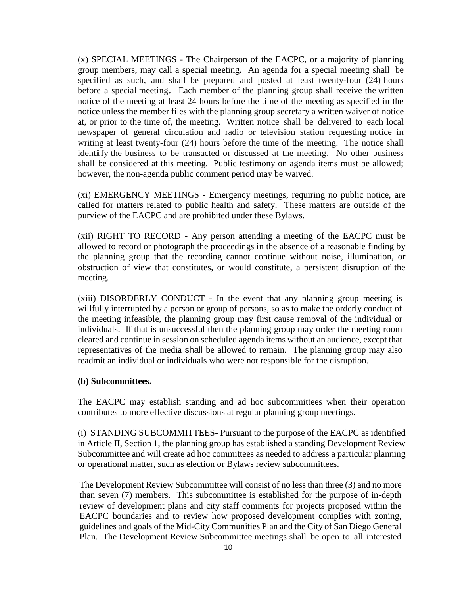(x) SPECIAL MEETINGS - The Chairperson of the EACPC, or a majority of planning group members, may call a special meeting. An agenda for a special meeting shall be specified as such, and shall be prepared and posted at least twenty-four (24) hours before a special meeting. Each member of the planning group shall receive the written notice of the meeting at least 24 hours before the time of the meeting as specified in the notice unless the member files with the planning group secretary a written waiver of notice at, or prior to the time of, the meeting. Written notice shall be delivered to each local newspaper of general circulation and radio or television station requesting notice in writing at least twenty-four (24) hours before the time of the meeting. The notice shall identify the business to be transacted or discussed at the meeting. No other business shall be considered at this meeting. Public testimony on agenda items must be allowed; however, the non-agenda public comment period may be waived.

(xi) EMERGENCY MEETINGS - Emergency meetings, requiring no public notice, are called for matters related to public health and safety. These matters are outside of the purview of the EACPC and are prohibited under these Bylaws.

(xii) RIGHT TO RECORD - Any person attending a meeting of the EACPC must be allowed to record or photograph the proceedings in the absence of a reasonable finding by the planning group that the recording cannot continue without noise, illumination, or obstruction of view that constitutes, or would constitute, a persistent disruption of the meeting.

(xiii) DISORDERLY CONDUCT - In the event that any planning group meeting is willfully interrupted by a person or group of persons, so as to make the orderly conduct of the meeting infeasible, the planning group may first cause removal of the individual or individuals. If that is unsuccessful then the planning group may order the meeting room cleared and continue in session on scheduled agenda items without an audience, except that representatives of the media shall be allowed to remain. The planning group may also readmit an individual or individuals who were not responsible for the disruption.

#### **(b) Subcommittees.**

The EACPC may establish standing and ad hoc subcommittees when their operation contributes to more effective discussions at regular planning group meetings.

(i) STANDING SUBCOMMITTEES- Pursuant to the purpose of the EACPC as identified in Article II, Section 1, the planning group has established a standing Development Review Subcommittee and will create ad hoc committees as needed to address a particular planning or operational matter, such as election or Bylaws review subcommittees.

The Development Review Subcommittee will consist of no less than three (3) and no more than seven (7) members. This subcommittee is established for the purpose of in-depth review of development plans and city staff comments for projects proposed within the EACPC boundaries and to review how proposed development complies with zoning, guidelines and goals of the Mid-City Communities Plan and the City of San Diego General Plan. The Development Review Subcommittee meetings shall be open to all interested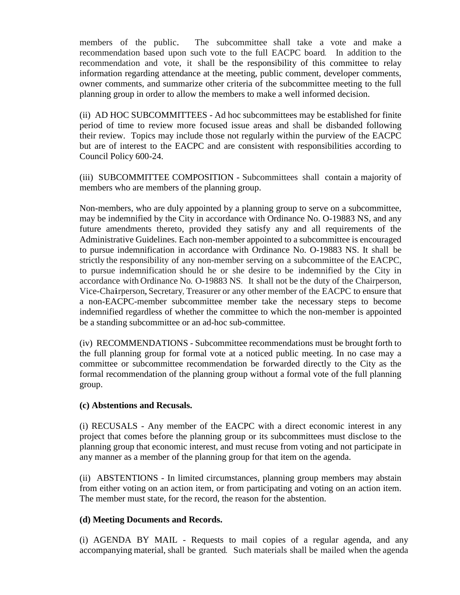members of the public. The subcommittee shall take <sup>a</sup> vote and make a recommendation based upon such vote to the full EACPC board. In addition to the recommendation and vote, it shall be the responsibility of this committee to relay information regarding attendance at the meeting, public comment, developer comments, owner comments, and summarize other criteria of the subcommittee meeting to the full planning group in order to allow the members to make a well informed decision.

(ii) AD HOC SUBCOMMITTEES - Ad hoc subcommittees may be established for finite period of time to review more focused issue areas and shall be disbanded following their review. Topics may include those not regularly within the purview of the EACPC but are of interest to the EACPC and are consistent with responsibilities according to Council Policy 600-24.

(iii) SUBCOMMITTEE COMPOSITION - Subcommittees shall contain a majority of members who are members of the planning group.

Non-members, who are duly appointed by a planning group to serve on a subcommittee, may be indemnified by the City in accordance with Ordinance No. O-19883 NS, and any future amendments thereto, provided they satisfy any and all requirements of the Administrative Guidelines. Each non-member appointed to a subcommittee is encouraged to pursue indemnification in accordance with Ordinance No. O-19883 NS. It shall be strictly the responsibility of any non-member serving on a subcommittee of the EACPC, to pursue indemnification should he or she desire to be indemnified by the City in accordance with Ordinance No. O-19883 NS. It shall not be the duty of the Chairperson, Vice-Chairperson,Secretary, Treasurer or any other member of the EACPC to ensure that a non-EACPC-member subcommittee member take the necessary steps to become indemnified regardless of whether the committee to which the non-member is appointed be a standing subcommittee or an ad-hoc sub-committee.

(iv) RECOMMENDATIONS - Subcommittee recommendations must be brought forth to the full planning group for formal vote at a noticed public meeting. In no case may a committee or subcommittee recommendation be forwarded directly to the City as the formal recommendation of the planning group without a formal vote of the full planning group.

#### **(c) Abstentions and Recusals.**

(i) RECUSALS - Any member of the EACPC with a direct economic interest in any project that comes before the planning group or its subcommittees must disclose to the planning group that economic interest, and must recuse from voting and not participate in any manner as a member of the planning group for that item on the agenda.

(ii) ABSTENTIONS - In limited circumstances, planning group members may abstain from either voting on an action item, or from participating and voting on an action item. The member must state, for the record, the reason for the abstention.

#### **(d) Meeting Documents and Records.**

(i) AGENDA BY MAIL - Requests to mail copies of a regular agenda, and any accompanying material, shall be granted. Such materials shall be mailed when the agenda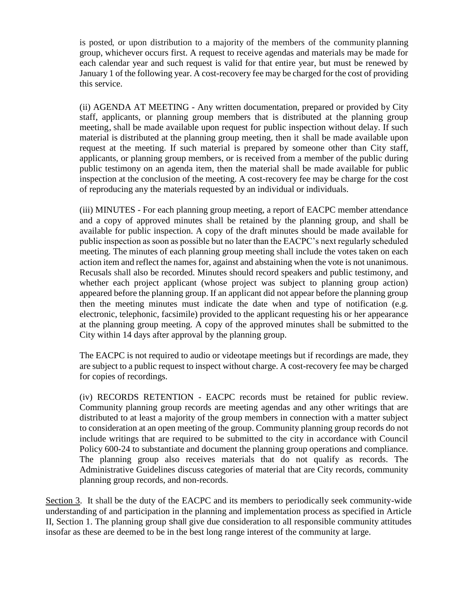is posted, or upon distribution to a majority of the members of the community planning group, whichever occurs first. A request to receive agendas and materials may be made for each calendar year and such request is valid for that entire year, but must be renewed by January 1 of the following year. A cost-recovery fee may be charged for the cost of providing this service.

(ii) AGENDA AT MEETING - Any written documentation, prepared or provided by City staff, applicants, or planning group members that is distributed at the planning group meeting, shall be made available upon request for public inspection without delay. If such material is distributed at the planning group meeting, then it shall be made available upon request at the meeting. If such material is prepared by someone other than City staff, applicants, or planning group members, or is received from a member of the public during public testimony on an agenda item, then the material shall be made available for public inspection at the conclusion of the meeting. A cost-recovery fee may be charge for the cost of reproducing any the materials requested by an individual or individuals.

(iii) MINUTES - For each planning group meeting, a report of EACPC member attendance and a copy of approved minutes shall be retained by the planning group, and shall be available for public inspection. A copy of the draft minutes should be made available for public inspection as soon as possible but no later than the EACPC's next regularly scheduled meeting. The minutes of each planning group meeting shall include the votes taken on each action item and reflect the names for, against and abstaining when the vote is not unanimous. Recusals shall also be recorded. Minutes should record speakers and public testimony, and whether each project applicant (whose project was subject to planning group action) appeared before the planning group. If an applicant did not appear before the planning group then the meeting minutes must indicate the date when and type of notification (e.g. electronic, telephonic, facsimile) provided to the applicant requesting his or her appearance at the planning group meeting. A copy of the approved minutes shall be submitted to the City within 14 days after approval by the planning group.

The EACPC is not required to audio or videotape meetings but if recordings are made, they are subject to a public request to inspect without charge. A cost-recovery fee may be charged for copies of recordings.

(iv) RECORDS RETENTION - EACPC records must be retained for public review. Community planning group records are meeting agendas and any other writings that are distributed to at least a majority of the group members in connection with a matter subject to consideration at an open meeting of the group. Community planning group records do not include writings that are required to be submitted to the city in accordance with Council Policy 600-24 to substantiate and document the planning group operations and compliance. The planning group also receives materials that do not qualify as records. The Administrative Guidelines discuss categories of material that are City records, community planning group records, and non-records.

Section 3. It shall be the duty of the EACPC and its members to periodically seek community-wide understanding of and participation in the planning and implementation process as specified in Article II, Section 1. The planning group shall give due consideration to all responsible community attitudes insofar as these are deemed to be in the best long range interest of the community at large.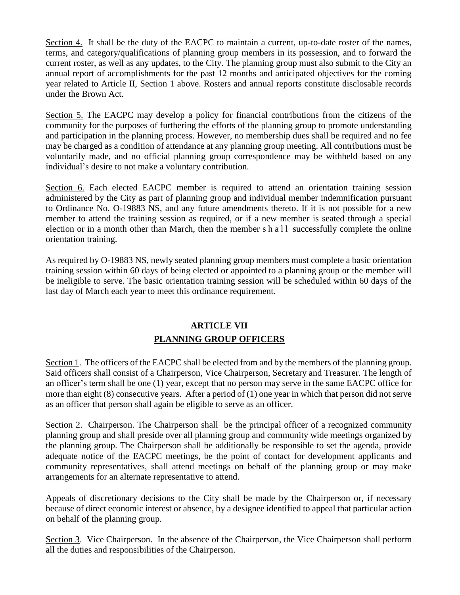Section 4. It shall be the duty of the EACPC to maintain a current, up-to-date roster of the names, terms, and category/qualifications of planning group members in its possession, and to forward the current roster, as well as any updates, to the City. The planning group must also submit to the City an annual report of accomplishments for the past 12 months and anticipated objectives for the coming year related to Article II, Section 1 above. Rosters and annual reports constitute disclosable records under the Brown Act.

Section 5. The EACPC may develop a policy for financial contributions from the citizens of the community for the purposes of furthering the efforts of the planning group to promote understanding and participation in the planning process. However, no membership dues shall be required and no fee may be charged as a condition of attendance at any planning group meeting. All contributions must be voluntarily made, and no official planning group correspondence may be withheld based on any individual's desire to not make a voluntary contribution.

Section 6. Each elected EACPC member is required to attend an orientation training session administered by the City as part of planning group and individual member indemnification pursuant to Ordinance No. O-19883 NS, and any future amendments thereto. If it is not possible for a new member to attend the training session as required, or if a new member is seated through a special election or in a month other than March, then the member s h a l l successfully complete the online orientation training.

As required by O-19883 NS, newly seated planning group members must complete a basic orientation training session within 60 days of being elected or appointed to a planning group or the member will be ineligible to serve. The basic orientation training session will be scheduled within 60 days of the last day of March each year to meet this ordinance requirement.

# **ARTICLE VII PLANNING GROUP OFFICERS**

Section 1. The officers of the EACPC shall be elected from and by the members of the planning group. Said officers shall consist of a Chairperson, Vice Chairperson, Secretary and Treasurer. The length of an officer's term shall be one (1) year, except that no person may serve in the same EACPC office for more than eight (8) consecutive years. After a period of (1) one year in which that person did not serve as an officer that person shall again be eligible to serve as an officer.

Section 2. Chairperson. The Chairperson shall be the principal officer of a recognized community planning group and shall preside over all planning group and community wide meetings organized by the planning group. The Chairperson shall be additionally be responsible to set the agenda, provide adequate notice of the EACPC meetings, be the point of contact for development applicants and community representatives, shall attend meetings on behalf of the planning group or may make arrangements for an alternate representative to attend.

Appeals of discretionary decisions to the City shall be made by the Chairperson or, if necessary because of direct economic interest or absence, by a designee identified to appeal that particular action on behalf of the planning group.

Section 3. Vice Chairperson. In the absence of the Chairperson, the Vice Chairperson shall perform all the duties and responsibilities of the Chairperson.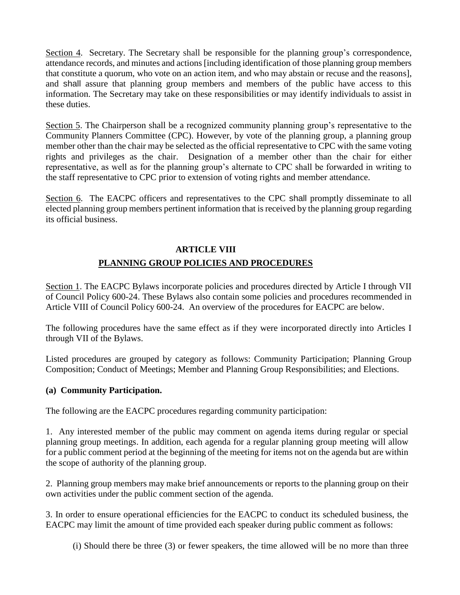Section 4. Secretary. The Secretary shall be responsible for the planning group's correspondence, attendance records, and minutes and actions [including identification of those planning group members that constitute a quorum, who vote on an action item, and who may abstain or recuse and the reasons], and shall assure that planning group members and members of the public have access to this information. The Secretary may take on these responsibilities or may identify individuals to assist in these duties.

Section 5. The Chairperson shall be a recognized community planning group's representative to the Community Planners Committee (CPC). However, by vote of the planning group, a planning group member other than the chair may be selected as the official representative to CPC with the same voting rights and privileges as the chair. Designation of a member other than the chair for either representative, as well as for the planning group's alternate to CPC shall be forwarded in writing to the staff representative to CPC prior to extension of voting rights and member attendance.

Section 6. The EACPC officers and representatives to the CPC shall promptly disseminate to all elected planning group members pertinent information that is received by the planning group regarding its official business.

# **ARTICLE VIII PLANNING GROUP POLICIES AND PROCEDURES**

Section 1. The EACPC Bylaws incorporate policies and procedures directed by Article I through VII of Council Policy 600-24. These Bylaws also contain some policies and procedures recommended in Article VIII of Council Policy 600-24. An overview of the procedures for EACPC are below.

The following procedures have the same effect as if they were incorporated directly into Articles I through VII of the Bylaws.

Listed procedures are grouped by category as follows: Community Participation; Planning Group Composition; Conduct of Meetings; Member and Planning Group Responsibilities; and Elections.

## **(a) Community Participation.**

The following are the EACPC procedures regarding community participation:

1. Any interested member of the public may comment on agenda items during regular or special planning group meetings. In addition, each agenda for a regular planning group meeting will allow for a public comment period at the beginning of the meeting for items not on the agenda but are within the scope of authority of the planning group.

2. Planning group members may make brief announcements or reports to the planning group on their own activities under the public comment section of the agenda.

3. In order to ensure operational efficiencies for the EACPC to conduct its scheduled business, the EACPC may limit the amount of time provided each speaker during public comment as follows:

(i) Should there be three (3) or fewer speakers, the time allowed will be no more than three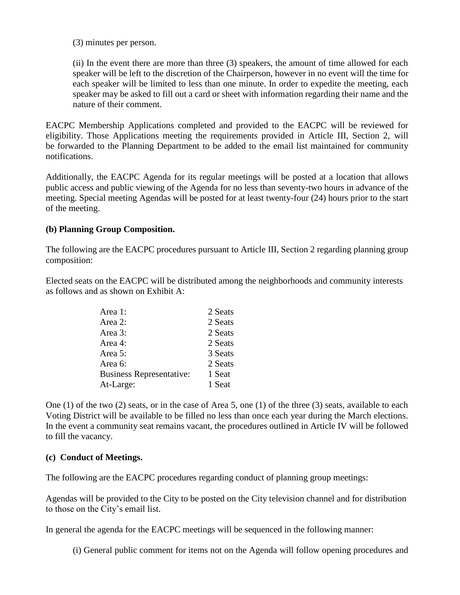(3) minutes per person.

(ii) In the event there are more than three (3) speakers, the amount of time allowed for each speaker will be left to the discretion of the Chairperson, however in no event will the time for each speaker will be limited to less than one minute. In order to expedite the meeting, each speaker may be asked to fill out a card or sheet with information regarding their name and the nature of their comment.

EACPC Membership Applications completed and provided to the EACPC will be reviewed for eligibility. Those Applications meeting the requirements provided in Article III, Section 2, will be forwarded to the Planning Department to be added to the email list maintained for community notifications.

Additionally, the EACPC Agenda for its regular meetings will be posted at a location that allows public access and public viewing of the Agenda for no less than seventy-two hours in advance of the meeting. Special meeting Agendas will be posted for at least twenty-four (24) hours prior to the start of the meeting.

### **(b) Planning Group Composition.**

The following are the EACPC procedures pursuant to Article III, Section 2 regarding planning group composition:

Elected seats on the EACPC will be distributed among the neighborhoods and community interests as follows and as shown on Exhibit A:

| Area 1:                         | 2 Seats |
|---------------------------------|---------|
| Area 2:                         | 2 Seats |
| Area 3:                         | 2 Seats |
| Area 4:                         | 2 Seats |
| Area 5:                         | 3 Seats |
| Area 6:                         | 2 Seats |
| <b>Business Representative:</b> | 1 Seat  |
| At-Large:                       | 1 Seat  |

One (1) of the two (2) seats, or in the case of Area 5, one (1) of the three (3) seats, available to each Voting District will be available to be filled no less than once each year during the March elections. In the event a community seat remains vacant, the procedures outlined in Article IV will be followed to fill the vacancy.

#### **(c) Conduct of Meetings.**

The following are the EACPC procedures regarding conduct of planning group meetings:

Agendas will be provided to the City to be posted on the City television channel and for distribution to those on the City's email list.

In general the agenda for the EACPC meetings will be sequenced in the following manner:

(i) General public comment for items not on the Agenda will follow opening procedures and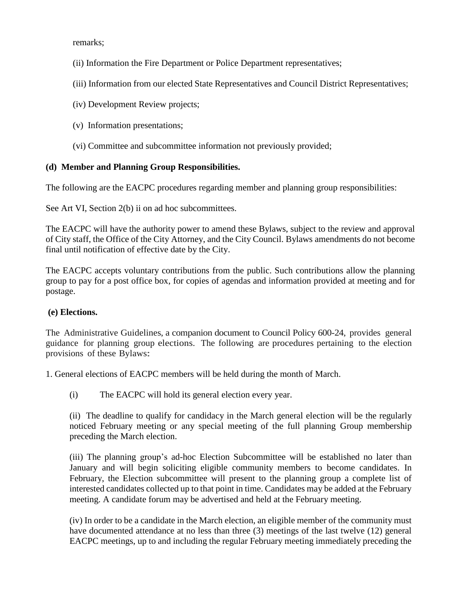remarks;

- (ii) Information the Fire Department or Police Department representatives;
- (iii) Information from our elected State Representatives and Council District Representatives;
- (iv) Development Review projects;
- (v) Information presentations;
- (vi) Committee and subcommittee information not previously provided;

## **(d) Member and Planning Group Responsibilities.**

The following are the EACPC procedures regarding member and planning group responsibilities:

See Art VI, Section 2(b) ii on ad hoc subcommittees.

The EACPC will have the authority power to amend these Bylaws, subject to the review and approval of City staff, the Office of the City Attorney, and the City Council. Bylaws amendments do not become final until notification of effective date by the City.

The EACPC accepts voluntary contributions from the public. Such contributions allow the planning group to pay for a post office box, for copies of agendas and information provided at meeting and for postage.

## **(e) Elections.**

The Administrative Guidelines, a companion document to Council Policy 600-24, provides general guidance for planning group elections. The following are procedures pertaining to the election provisions of these Bylaws:

1. General elections of EACPC members will be held during the month of March.

(i) The EACPC will hold its general election every year.

(ii) The deadline to qualify for candidacy in the March general election will be the regularly noticed February meeting or any special meeting of the full planning Group membership preceding the March election.

(iii) The planning group's ad-hoc Election Subcommittee will be established no later than January and will begin soliciting eligible community members to become candidates. In February, the Election subcommittee will present to the planning group a complete list of interested candidates collected up to that point in time. Candidates may be added at the February meeting. A candidate forum may be advertised and held at the February meeting.

(iv) In order to be a candidate in the March election, an eligible member of the community must have documented attendance at no less than three (3) meetings of the last twelve (12) general EACPC meetings, up to and including the regular February meeting immediately preceding the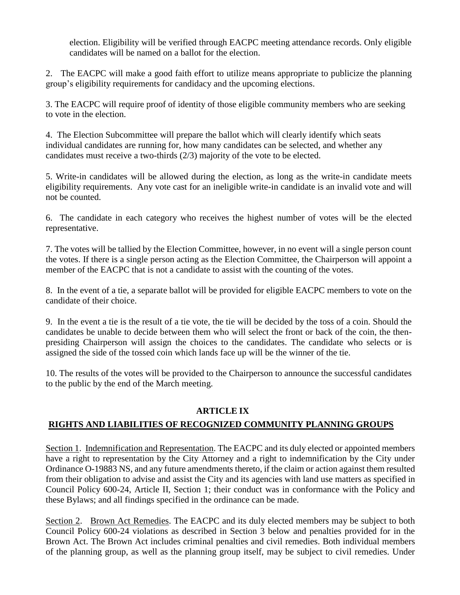election. Eligibility will be verified through EACPC meeting attendance records. Only eligible candidates will be named on a ballot for the election.

2. The EACPC will make a good faith effort to utilize means appropriate to publicize the planning group's eligibility requirements for candidacy and the upcoming elections.

3. The EACPC will require proof of identity of those eligible community members who are seeking to vote in the election.

4. The Election Subcommittee will prepare the ballot which will clearly identify which seats individual candidates are running for, how many candidates can be selected, and whether any candidates must receive a two-thirds (2/3) majority of the vote to be elected.

5. Write-in candidates will be allowed during the election, as long as the write-in candidate meets eligibility requirements. Any vote cast for an ineligible write-in candidate is an invalid vote and will not be counted.

6. The candidate in each category who receives the highest number of votes will be the elected representative.

7. The votes will be tallied by the Election Committee, however, in no event will a single person count the votes. If there is a single person acting as the Election Committee, the Chairperson will appoint a member of the EACPC that is not a candidate to assist with the counting of the votes.

8. In the event of a tie, a separate ballot will be provided for eligible EACPC members to vote on the candidate of their choice.

9. In the event a tie is the result of a tie vote, the tie will be decided by the toss of a coin. Should the candidates be unable to decide between them who will select the front or back of the coin, the thenpresiding Chairperson will assign the choices to the candidates. The candidate who selects or is assigned the side of the tossed coin which lands face up will be the winner of the tie.

10. The results of the votes will be provided to the Chairperson to announce the successful candidates to the public by the end of the March meeting.

# **ARTICLE IX**

# **RIGHTS AND LIABILITIES OF RECOGNIZED COMMUNITY PLANNING GROUPS**

Section 1. Indemnification and Representation. The EACPC and its duly elected or appointed members have a right to representation by the City Attorney and a right to indemnification by the City under Ordinance O-19883 NS, and any future amendments thereto, if the claim or action against them resulted from their obligation to advise and assist the City and its agencies with land use matters as specified in Council Policy 600-24, Article II, Section 1; their conduct was in conformance with the Policy and these Bylaws; and all findings specified in the ordinance can be made.

Section 2. Brown Act Remedies. The EACPC and its duly elected members may be subject to both Council Policy 600-24 violations as described in Section 3 below and penalties provided for in the Brown Act. The Brown Act includes criminal penalties and civil remedies. Both individual members of the planning group, as well as the planning group itself, may be subject to civil remedies. Under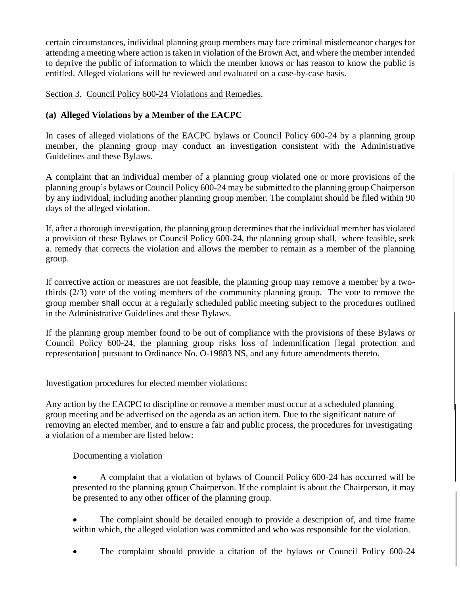certain circumstances, individual planning group members may face criminal misdemeanor charges for attending a meeting where action is taken in violation of the Brown Act, and where the member intended to deprive the public of information to which the member knows or has reason to know the public is entitled. Alleged violations will be reviewed and evaluated on a case-by-case basis.

Section 3. Council Policy 600-24 Violations and Remedies.

## **(a) Alleged Violations by a Member of the EACPC**

In cases of alleged violations of the EACPC bylaws or Council Policy 600-24 by a planning group member, the planning group may conduct an investigation consistent with the Administrative Guidelines and these Bylaws.

A complaint that an individual member of a planning group violated one or more provisions of the planning group's bylaws or Council Policy 600-24 may be submitted to the planning group Chairperson by any individual, including another planning group member. The complaint should be filed within 90 days of the alleged violation.

If, after a thorough investigation, the planning group determines that the individual member has violated a provision of these Bylaws or Council Policy 600-24, the planning group shall, where feasible, seek a. remedy that corrects the violation and allows the member to remain as a member of the planning group.

If corrective action or measures are not feasible, the planning group may remove a member by a twothirds (2/3) vote of the voting members of the community planning group. The vote to remove the group member shall occur at a regularly scheduled public meeting subject to the procedures outlined in the Administrative Guidelines and these Bylaws.

If the planning group member found to be out of compliance with the provisions of these Bylaws or Council Policy 600-24, the planning group risks loss of indemnification [legal protection and representation] pursuant to Ordinance No. O-19883 NS, and any future amendments thereto.

Investigation procedures for elected member violations:

Any action by the EACPC to discipline or remove a member must occur at a scheduled planning group meeting and be advertised on the agenda as an action item. Due to the significant nature of removing an elected member, and to ensure a fair and public process, the procedures for investigating a violation of a member are listed below:

Documenting a violation

- A complaint that a violation of bylaws of Council Policy 600-24 has occurred will be presented to the planning group Chairperson. If the complaint is about the Chairperson, it may be presented to any other officer of the planning group.
- The complaint should be detailed enough to provide a description of, and time frame within which, the alleged violation was committed and who was responsible for the violation.
- The complaint should provide a citation of the bylaws or Council Policy 600-24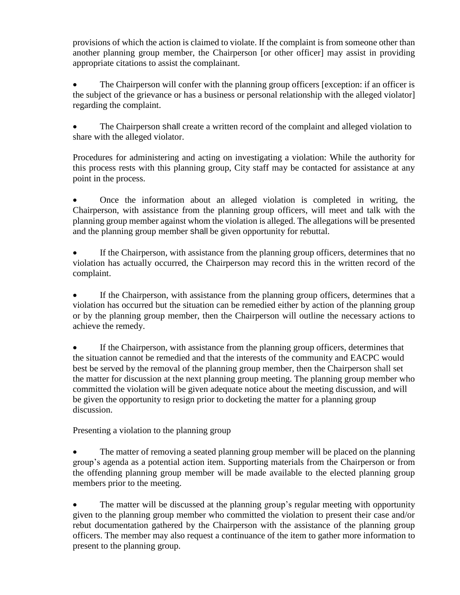provisions of which the action is claimed to violate. If the complaint is from someone other than another planning group member, the Chairperson [or other officer] may assist in providing appropriate citations to assist the complainant.

• The Chairperson will confer with the planning group officers [exception: if an officer is the subject of the grievance or has a business or personal relationship with the alleged violator] regarding the complaint.

 The Chairperson shall create a written record of the complaint and alleged violation to share with the alleged violator.

Procedures for administering and acting on investigating a violation: While the authority for this process rests with this planning group, City staff may be contacted for assistance at any point in the process.

 Once the information about an alleged violation is completed in writing, the Chairperson, with assistance from the planning group officers, will meet and talk with the planning group member against whom the violation is alleged. The allegations will be presented and the planning group member shall be given opportunity for rebuttal.

 If the Chairperson, with assistance from the planning group officers, determines that no violation has actually occurred, the Chairperson may record this in the written record of the complaint.

 If the Chairperson, with assistance from the planning group officers, determines that a violation has occurred but the situation can be remedied either by action of the planning group or by the planning group member, then the Chairperson will outline the necessary actions to achieve the remedy.

 If the Chairperson, with assistance from the planning group officers, determines that the situation cannot be remedied and that the interests of the community and EACPC would best be served by the removal of the planning group member, then the Chairperson shall set the matter for discussion at the next planning group meeting. The planning group member who committed the violation will be given adequate notice about the meeting discussion, and will be given the opportunity to resign prior to docketing the matter for a planning group discussion.

Presenting a violation to the planning group

• The matter of removing a seated planning group member will be placed on the planning group's agenda as a potential action item. Supporting materials from the Chairperson or from the offending planning group member will be made available to the elected planning group members prior to the meeting.

 The matter will be discussed at the planning group's regular meeting with opportunity given to the planning group member who committed the violation to present their case and/or rebut documentation gathered by the Chairperson with the assistance of the planning group officers. The member may also request a continuance of the item to gather more information to present to the planning group.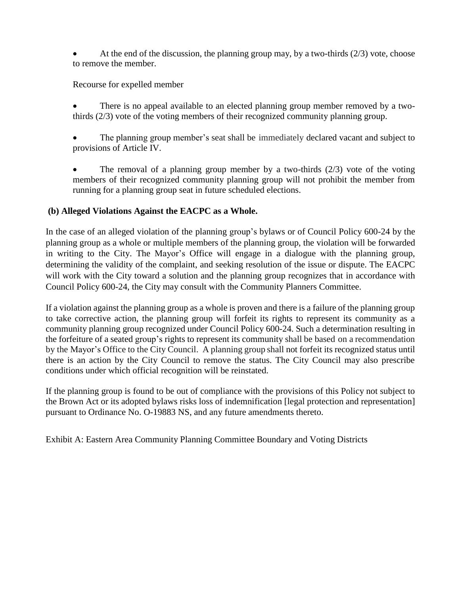At the end of the discussion, the planning group may, by a two-thirds  $(2/3)$  vote, choose to remove the member.

Recourse for expelled member

- There is no appeal available to an elected planning group member removed by a twothirds (2/3) vote of the voting members of their recognized community planning group.
- The planning group member's seat shall be immediately declared vacant and subject to provisions of Article IV.
- The removal of a planning group member by a two-thirds (2/3) vote of the voting members of their recognized community planning group will not prohibit the member from running for a planning group seat in future scheduled elections.

## **(b) Alleged Violations Against the EACPC as a Whole.**

In the case of an alleged violation of the planning group's bylaws or of Council Policy 600-24 by the planning group as a whole or multiple members of the planning group, the violation will be forwarded in writing to the City. The Mayor's Office will engage in a dialogue with the planning group, determining the validity of the complaint, and seeking resolution of the issue or dispute. The EACPC will work with the City toward a solution and the planning group recognizes that in accordance with Council Policy 600-24, the City may consult with the Community Planners Committee.

If a violation against the planning group as a whole is proven and there is a failure of the planning group to take corrective action, the planning group will forfeit its rights to represent its community as a community planning group recognized under Council Policy 600-24. Such a determination resulting in the forfeiture of a seated group's rights to represent its community shall be based on a recommendation by the Mayor's Office to the City Council. A planning group shall not forfeit its recognized status until there is an action by the City Council to remove the status. The City Council may also prescribe conditions under which official recognition will be reinstated.

If the planning group is found to be out of compliance with the provisions of this Policy not subject to the Brown Act or its adopted bylaws risks loss of indemnification [legal protection and representation] pursuant to Ordinance No. O-19883 NS, and any future amendments thereto.

Exhibit A: Eastern Area Community Planning Committee Boundary and Voting Districts